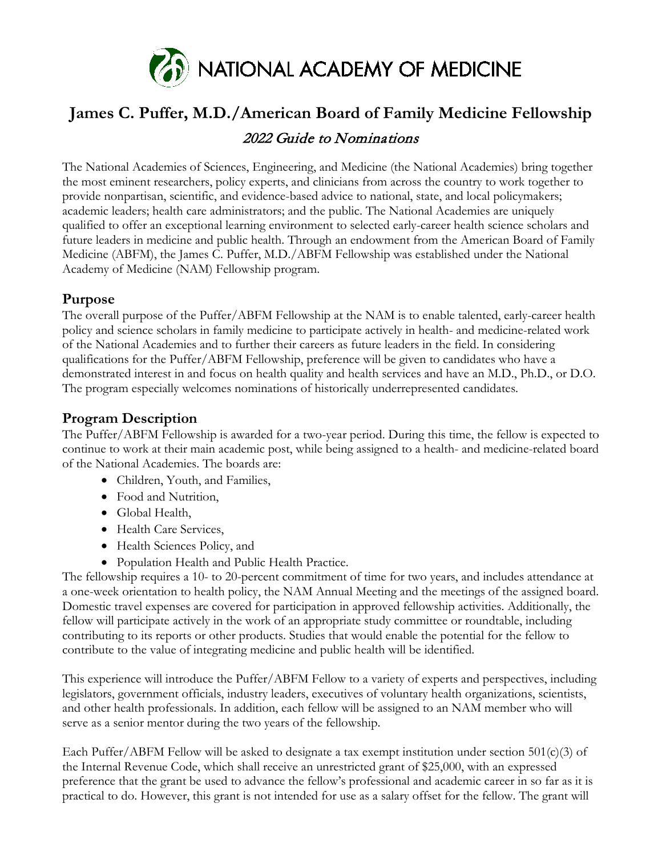

# **James C. Puffer, M.D./American Board of Family Medicine Fellowship**

## 2022 Guide to Nominations

The National Academies of Sciences, Engineering, and Medicine (the National Academies) bring together the most eminent researchers, policy experts, and clinicians from across the country to work together to provide nonpartisan, scientific, and evidence-based advice to national, state, and local policymakers; academic leaders; health care administrators; and the public. The National Academies are uniquely qualified to offer an exceptional learning environment to selected early-career health science scholars and future leaders in medicine and public health. Through an endowment from the American Board of Family Medicine (ABFM), the James C. Puffer, M.D./ABFM Fellowship was established under the National Academy of Medicine (NAM) Fellowship program.

### **Purpose**

The overall purpose of the Puffer/ABFM Fellowship at the NAM is to enable talented, early-career health policy and science scholars in family medicine to participate actively in health- and medicine-related work of the National Academies and to further their careers as future leaders in the field. In considering qualifications for the Puffer/ABFM Fellowship, preference will be given to candidates who have a demonstrated interest in and focus on health quality and health services and have an M.D., Ph.D., or D.O. The program especially welcomes nominations of historically underrepresented candidates.

# **Program Description**

The Puffer/ABFM Fellowship is awarded for a two-year period. During this time, the fellow is expected to continue to work at their main academic post, while being assigned to a health- and medicine-related board of the National Academies. The boards are:

- Children, Youth, and Families,
- Food and Nutrition,
- Global Health,
- Health Care Services,
- Health Sciences Policy, and
- Population Health and Public Health Practice.

The fellowship requires a 10- to 20-percent commitment of time for two years, and includes attendance at a one-week orientation to health policy, the NAM Annual Meeting and the meetings of the assigned board. Domestic travel expenses are covered for participation in approved fellowship activities. Additionally, the fellow will participate actively in the work of an appropriate study committee or roundtable, including contributing to its reports or other products. Studies that would enable the potential for the fellow to contribute to the value of integrating medicine and public health will be identified.

This experience will introduce the Puffer/ABFM Fellow to a variety of experts and perspectives, including legislators, government officials, industry leaders, executives of voluntary health organizations, scientists, and other health professionals. In addition, each fellow will be assigned to an NAM member who will serve as a senior mentor during the two years of the fellowship.

Each Puffer/ABFM Fellow will be asked to designate a tax exempt institution under section  $501(c)(3)$  of the Internal Revenue Code, which shall receive an unrestricted grant of \$25,000, with an expressed preference that the grant be used to advance the fellow's professional and academic career in so far as it is practical to do. However, this grant is not intended for use as a salary offset for the fellow. The grant will